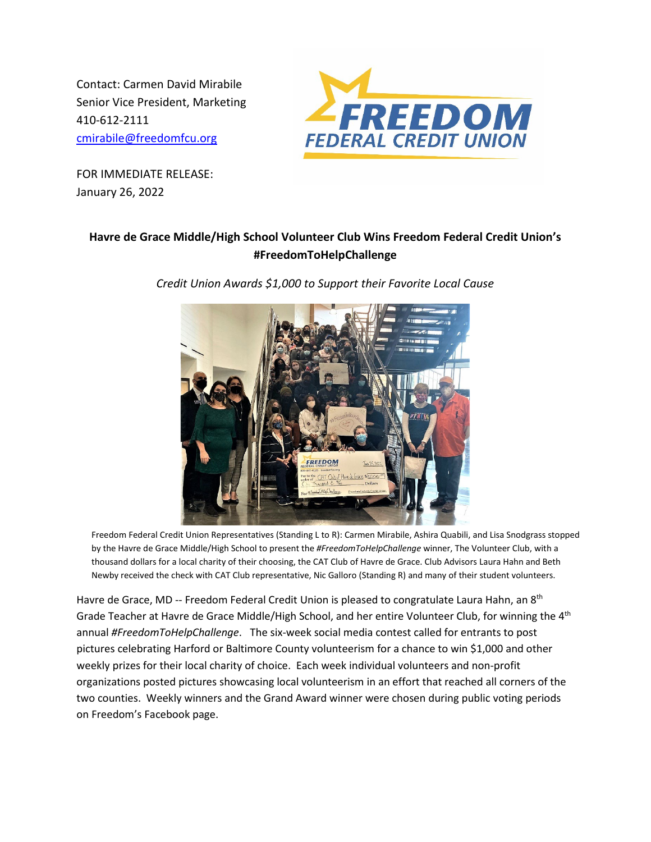Contact: Carmen David Mirabile Senior Vice President, Marketing 410-612-2111 [cmirabile@freedomfcu.org](mailto:cmirabile@freedomfcu.org)



FOR IMMEDIATE RELEASE: January 26, 2022

## **Havre de Grace Middle/High School Volunteer Club Wins Freedom Federal Credit Union's #FreedomToHelpChallenge**

*Credit Union Awards \$1,000 to Support their Favorite Local Cause*



Freedom Federal Credit Union Representatives (Standing L to R): Carmen Mirabile, Ashira Quabili, and Lisa Snodgrass stopped by the Havre de Grace Middle/High School to present the *#FreedomToHelpChallenge* winner, The Volunteer Club, with a thousand dollars for a local charity of their choosing, the CAT Club of Havre de Grace. Club Advisors Laura Hahn and Beth Newby received the check with CAT Club representative, Nic Galloro (Standing R) and many of their student volunteers.

Havre de Grace, MD -- Freedom Federal Credit Union is pleased to congratulate Laura Hahn, an 8<sup>th</sup> Grade Teacher at Havre de Grace Middle/High School, and her entire Volunteer Club, for winning the 4<sup>th</sup> annual *#FreedomToHelpChallenge*. The six-week social media contest called for entrants to post pictures celebrating Harford or Baltimore County volunteerism for a chance to win \$1,000 and other weekly prizes for their local charity of choice. Each week individual volunteers and non-profit organizations posted pictures showcasing local volunteerism in an effort that reached all corners of the two counties. Weekly winners and the Grand Award winner were chosen during public voting periods on Freedom's Facebook page.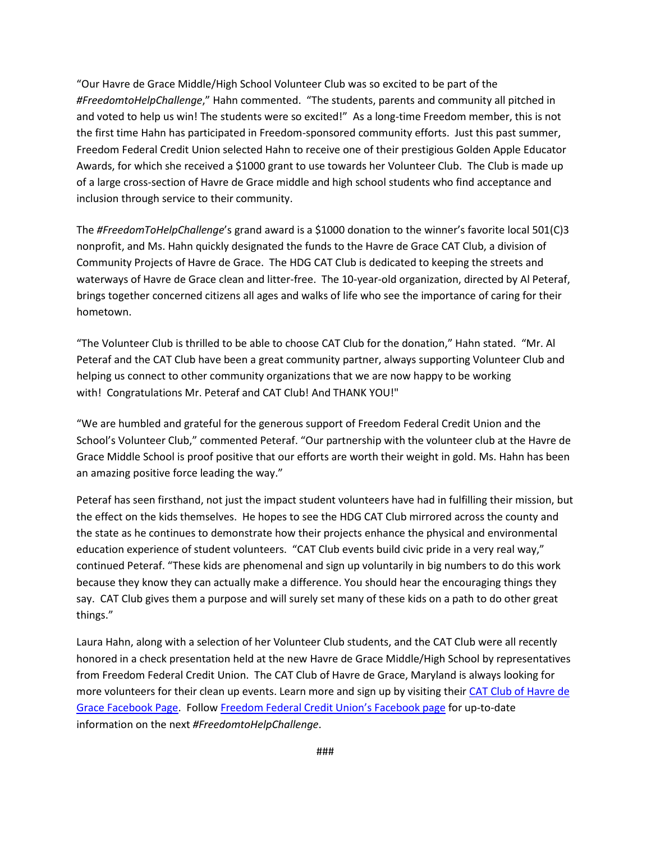"Our Havre de Grace Middle/High School Volunteer Club was so excited to be part of the *#FreedomtoHelpChallenge*," Hahn commented. "The students, parents and community all pitched in and voted to help us win! The students were so excited!" As a long-time Freedom member, this is not the first time Hahn has participated in Freedom-sponsored community efforts. Just this past summer, Freedom Federal Credit Union selected Hahn to receive one of their prestigious Golden Apple Educator Awards, for which she received a \$1000 grant to use towards her Volunteer Club. The Club is made up of a large cross-section of Havre de Grace middle and high school students who find acceptance and inclusion through service to their community.

The *#FreedomToHelpChallenge*'s grand award is a \$1000 donation to the winner's favorite local 501(C)3 nonprofit, and Ms. Hahn quickly designated the funds to the Havre de Grace CAT Club, a division of Community Projects of Havre de Grace. The HDG CAT Club is dedicated to keeping the streets and waterways of Havre de Grace clean and litter-free. The 10-year-old organization, directed by Al Peteraf, brings together concerned citizens all ages and walks of life who see the importance of caring for their hometown.

"The Volunteer Club is thrilled to be able to choose CAT Club for the donation," Hahn stated. "Mr. Al Peteraf and the CAT Club have been a great community partner, always supporting Volunteer Club and helping us connect to other community organizations that we are now happy to be working with! Congratulations Mr. Peteraf and CAT Club! And THANK YOU!"

"We are humbled and grateful for the generous support of Freedom Federal Credit Union and the School's Volunteer Club," commented Peteraf. "Our partnership with the volunteer club at the Havre de Grace Middle School is proof positive that our efforts are worth their weight in gold. Ms. Hahn has been an amazing positive force leading the way."

Peteraf has seen firsthand, not just the impact student volunteers have had in fulfilling their mission, but the effect on the kids themselves. He hopes to see the HDG CAT Club mirrored across the county and the state as he continues to demonstrate how their projects enhance the physical and environmental education experience of student volunteers. "CAT Club events build civic pride in a very real way," continued Peteraf. "These kids are phenomenal and sign up voluntarily in big numbers to do this work because they know they can actually make a difference. You should hear the encouraging things they say. CAT Club gives them a purpose and will surely set many of these kids on a path to do other great things."

Laura Hahn, along with a selection of her Volunteer Club students, and the CAT Club were all recently honored in a check presentation held at the new Havre de Grace Middle/High School by representatives from Freedom Federal Credit Union. The CAT Club of Havre de Grace, Maryland is always looking for more volunteers for their clean up events. Learn more and sign up by visiting their [CAT Club of Havre de](https://www.facebook.com/CAT-Club-of-Havre-de-Grace-509029652451423)  [Grace Facebook Page.](https://www.facebook.com/CAT-Club-of-Havre-de-Grace-509029652451423) Follo[w Freedom Federal Credit Union's Facebook page](https://www.facebook.com/FreedomFCU) for up-to-date information on the next *#FreedomtoHelpChallenge*.